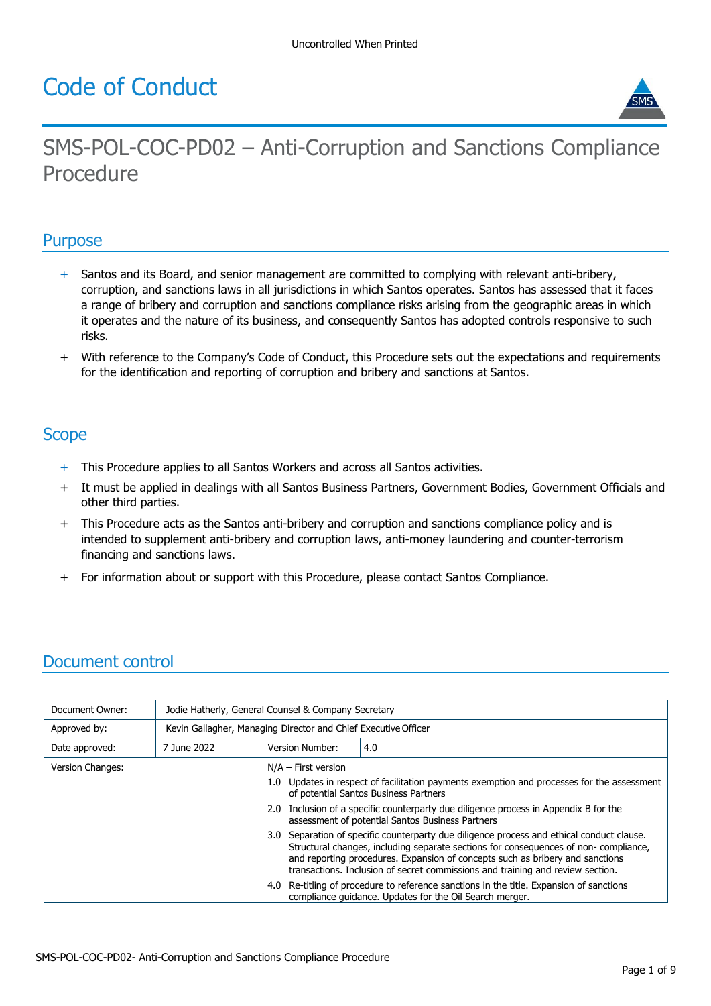# Code of Conduct



# SMS-POL-COC-PD02 – Anti-Corruption and Sanctions Compliance Procedure

#### **Purpose**

- + Santos and its Board, and senior management are committed to complying with relevant anti-bribery, corruption, and sanctions laws in all jurisdictions in which Santos operates. Santos has assessed that it faces a range of bribery and corruption and sanctions compliance risks arising from the geographic areas in which it operates and the nature of its business, and consequently Santos has adopted controls responsive to such risks.
- With reference to the Company's Code of Conduct, this Procedure sets out the expectations and requirements for the identification and reporting of corruption and bribery and sanctions at Santos.

### **Scope**

- + This Procedure applies to all Santos Workers and across all Santos activities.
- + It must be applied in dealings with all Santos Business Partners, Government Bodies, Government Officials and other third parties.
- + This Procedure acts as the Santos anti-bribery and corruption and sanctions compliance policy and is intended to supplement anti-bribery and corruption laws, anti-money laundering and counter-terrorism financing and sanctions laws.
- + For information about or support with this Procedure, please contact Santos Compliance.

## Document control

| Document Owner:  | Jodie Hatherly, General Counsel & Company Secretary            |                       |                                                                                                                                                                                                                                                                                                                                                     |  |
|------------------|----------------------------------------------------------------|-----------------------|-----------------------------------------------------------------------------------------------------------------------------------------------------------------------------------------------------------------------------------------------------------------------------------------------------------------------------------------------------|--|
| Approved by:     | Kevin Gallagher, Managing Director and Chief Executive Officer |                       |                                                                                                                                                                                                                                                                                                                                                     |  |
| Date approved:   | 7 June 2022                                                    | Version Number:       | 4.0                                                                                                                                                                                                                                                                                                                                                 |  |
| Version Changes: |                                                                | $N/A$ – First version |                                                                                                                                                                                                                                                                                                                                                     |  |
|                  |                                                                |                       | 1.0 Updates in respect of facilitation payments exemption and processes for the assessment<br>of potential Santos Business Partners                                                                                                                                                                                                                 |  |
|                  |                                                                |                       | 2.0 Inclusion of a specific counterparty due diligence process in Appendix B for the<br>assessment of potential Santos Business Partners                                                                                                                                                                                                            |  |
|                  |                                                                |                       | 3.0 Separation of specific counterparty due diligence process and ethical conduct clause.<br>Structural changes, including separate sections for consequences of non-compliance,<br>and reporting procedures. Expansion of concepts such as bribery and sanctions<br>transactions. Inclusion of secret commissions and training and review section. |  |
|                  |                                                                |                       | 4.0 Re-titling of procedure to reference sanctions in the title. Expansion of sanctions<br>compliance quidance. Updates for the Oil Search merger.                                                                                                                                                                                                  |  |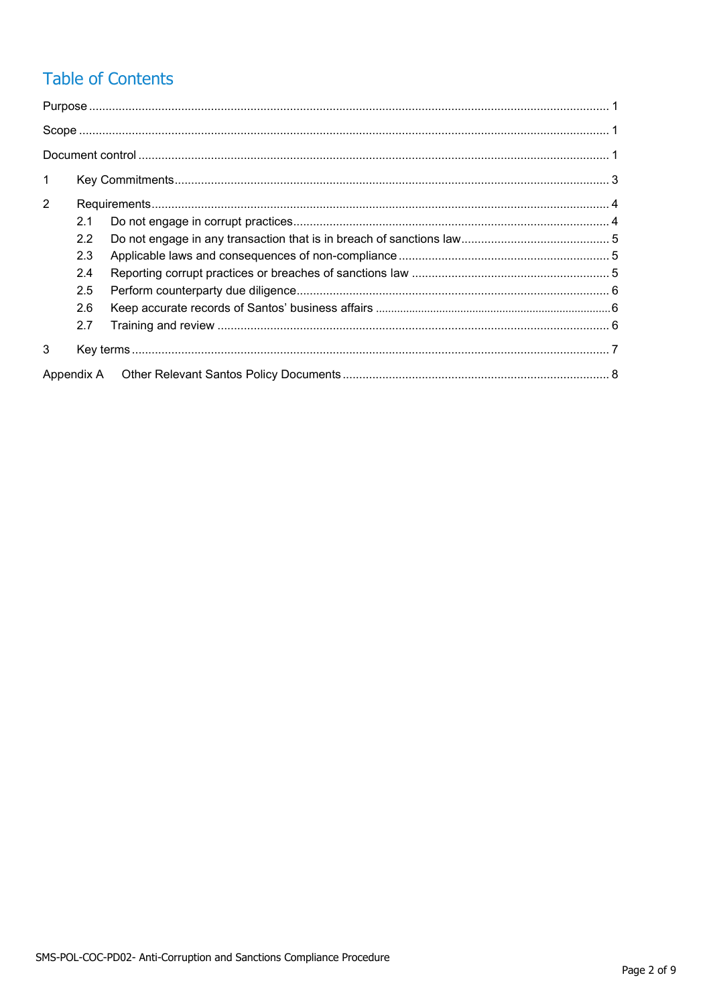## **Table of Contents**

| $\mathbf{1}$   |     |  |  |  |  |
|----------------|-----|--|--|--|--|
| $\overline{2}$ |     |  |  |  |  |
|                | 2.1 |  |  |  |  |
|                | 2.2 |  |  |  |  |
|                | 2.3 |  |  |  |  |
|                | 2.4 |  |  |  |  |
|                | 2.5 |  |  |  |  |
|                | 2.6 |  |  |  |  |
|                | 2.7 |  |  |  |  |
| 3              |     |  |  |  |  |
|                |     |  |  |  |  |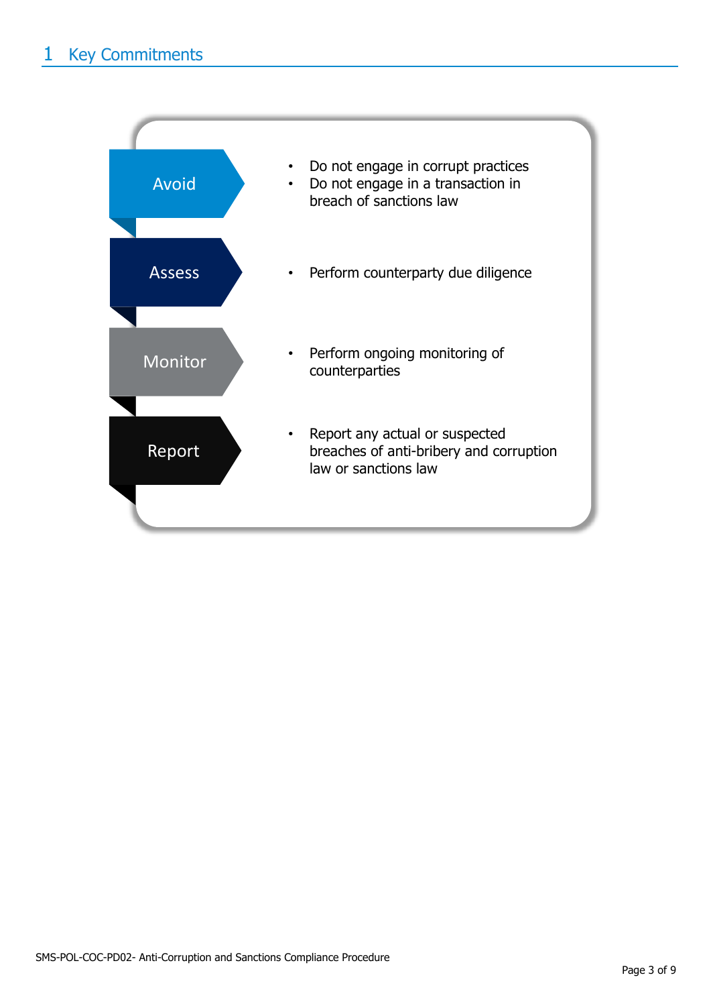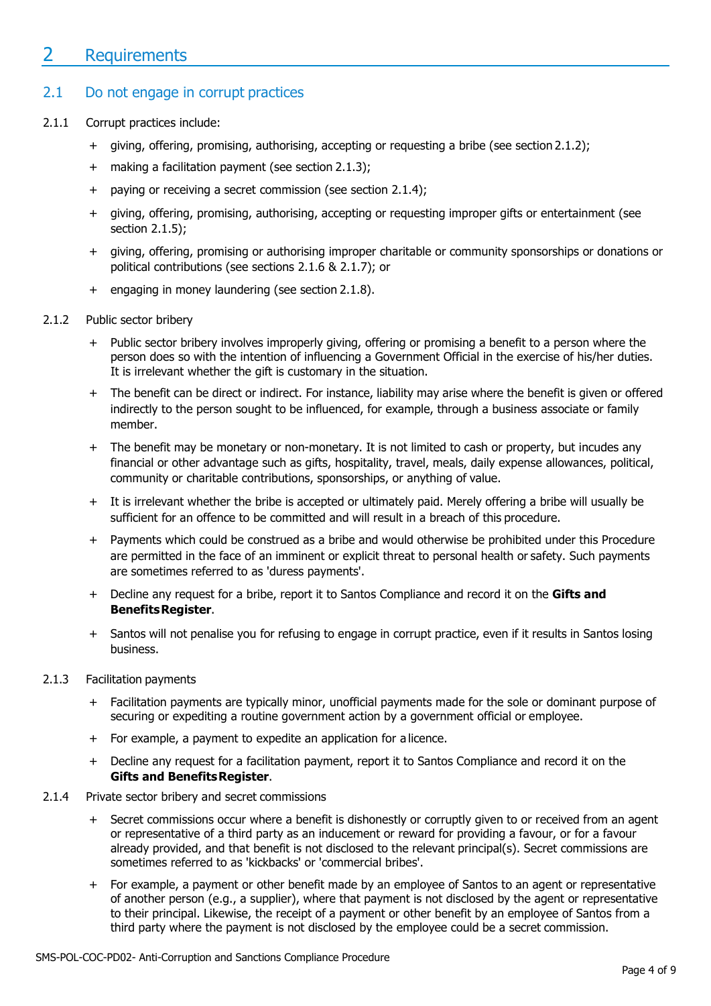## 2 Requirements

#### 2.1 Do not engage in corrupt practices

- 2.1.1 Corrupt practices include:
	- + giving, offering, promising, authorising, accepting or requesting a bribe (see section 2.1.2);
	- + making a facilitation payment (see section 2.1.3);
	- + paying or receiving a secret commission (see section 2.1.4);
	- + giving, offering, promising, authorising, accepting or requesting improper gifts or entertainment (see section 2.1.5);
	- + giving, offering, promising or authorising improper charitable or community sponsorships or donations or political contributions (see sections 2.1.6 & 2.1.7); or
	- + engaging in money laundering (see section 2.1.8).
- 2.1.2 Public sector bribery
	- + Public sector bribery involves improperly giving, offering or promising a benefit to a person where the person does so with the intention of influencing a Government Official in the exercise of his/her duties. It is irrelevant whether the gift is customary in the situation.
	- + The benefit can be direct or indirect. For instance, liability may arise where the benefit is given or offered indirectly to the person sought to be influenced, for example, through a business associate or family member.
	- + The benefit may be monetary or non-monetary. It is not limited to cash or property, but incudes any financial or other advantage such as gifts, hospitality, travel, meals, daily expense allowances, political, community or charitable contributions, sponsorships, or anything of value.
	- + It is irrelevant whether the bribe is accepted or ultimately paid. Merely offering a bribe will usually be sufficient for an offence to be committed and will result in a breach of this procedure.
	- + Payments which could be construed as a bribe and would otherwise be prohibited under this Procedure are permitted in the face of an imminent or explicit threat to personal health or safety. Such payments are sometimes referred to as 'duress payments'.
	- + Decline any request for a bribe, report it to Santos Compliance and record it on the **Gifts and BenefitsRegister**.
	- + Santos will not penalise you for refusing to engage in corrupt practice, even if it results in Santos losing business.
- 2.1.3 Facilitation payments
	- + Facilitation payments are typically minor, unofficial payments made for the sole or dominant purpose of securing or expediting a routine government action by a government official or employee.
	- + For example, a payment to expedite an application for a licence.
	- + Decline any request for a facilitation payment, report it to Santos Compliance and record it on the **Gifts and BenefitsRegister**.
- 2.1.4 Private sector bribery and secret commissions
	- + Secret commissions occur where a benefit is dishonestly or corruptly given to or received from an agent or representative of a third party as an inducement or reward for providing a favour, or for a favour already provided, and that benefit is not disclosed to the relevant principal(s). Secret commissions are sometimes referred to as 'kickbacks' or 'commercial bribes'.
	- + For example, a payment or other benefit made by an employee of Santos to an agent or representative of another person (e.g., a supplier), where that payment is not disclosed by the agent or representative to their principal. Likewise, the receipt of a payment or other benefit by an employee of Santos from a third party where the payment is not disclosed by the employee could be a secret commission.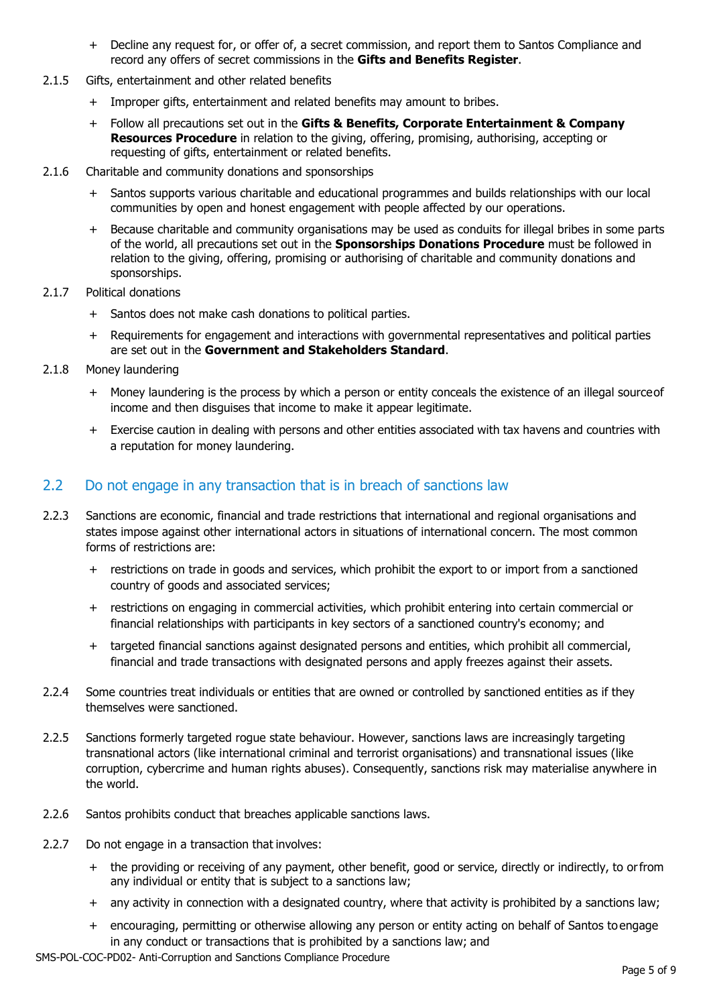- + Decline any request for, or offer of, a secret commission, and report them to Santos Compliance and record any offers of secret commissions in the **Gifts and Benefits Register**.
- 2.1.5 Gifts, entertainment and other related benefits
	- + Improper gifts, entertainment and related benefits may amount to bribes.
	- + Follow all precautions set out in the **Gifts & Benefits, Corporate Entertainment & Company Resources Procedure** in relation to the giving, offering, promising, authorising, accepting or requesting of gifts, entertainment or related benefits.
- 2.1.6 Charitable and community donations and sponsorships
	- + Santos supports various charitable and educational programmes and builds relationships with our local communities by open and honest engagement with people affected by our operations.
	- + Because charitable and community organisations may be used as conduits for illegal bribes in some parts of the world, all precautions set out in the **Sponsorships Donations Procedure** must be followed in relation to the giving, offering, promising or authorising of charitable and community donations and sponsorships.
- 2.1.7 Political donations
	- + Santos does not make cash donations to political parties.
	- + Requirements for engagement and interactions with governmental representatives and political parties are set out in the **Government and Stakeholders Standard**.
- 2.1.8 Money laundering
	- + Money laundering is the process by which a person or entity conceals the existence of an illegal sourceof income and then disguises that income to make it appear legitimate.
	- + Exercise caution in dealing with persons and other entities associated with tax havens and countries with a reputation for money laundering.

#### 2.2 Do not engage in any transaction that is in breach of sanctions law

- 2.2.3 Sanctions are economic, financial and trade restrictions that international and regional organisations and states impose against other international actors in situations of international concern. The most common forms of restrictions are:
	- + restrictions on trade in goods and services, which prohibit the export to or import from a sanctioned country of goods and associated services;
	- + restrictions on engaging in commercial activities, which prohibit entering into certain commercial or financial relationships with participants in key sectors of a sanctioned country's economy; and
	- + targeted financial sanctions against designated persons and entities, which prohibit all commercial, financial and trade transactions with designated persons and apply freezes against their assets.
- 2.2.4 Some countries treat individuals or entities that are owned or controlled by sanctioned entities as if they themselves were sanctioned.
- 2.2.5 Sanctions formerly targeted rogue state behaviour. However, sanctions laws are increasingly targeting transnational actors (like international criminal and terrorist organisations) and transnational issues (like corruption, cybercrime and human rights abuses). Consequently, sanctions risk may materialise anywhere in the world.
- 2.2.6 Santos prohibits conduct that breaches applicable sanctions laws.
- 2.2.7 Do not engage in a transaction that involves:
	- + the providing or receiving of any payment, other benefit, good or service, directly or indirectly, to orfrom any individual or entity that is subject to a sanctions law;
	- + any activity in connection with a designated country, where that activity is prohibited by a sanctions law;
	- + encouraging, permitting or otherwise allowing any person or entity acting on behalf of Santos toengage in any conduct or transactions that is prohibited by a sanctions law; and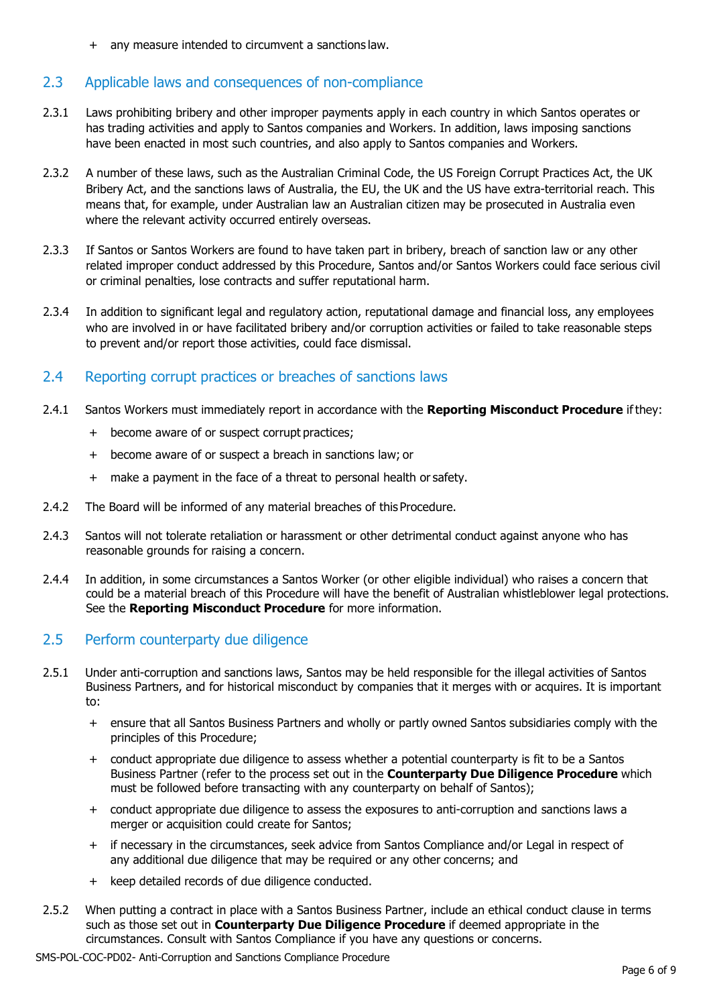+ any measure intended to circumvent a sanctions law.

#### 2.3 Applicable laws and consequences of non-compliance

- 2.3.1 Laws prohibiting bribery and other improper payments apply in each country in which Santos operates or has trading activities and apply to Santos companies and Workers. In addition, laws imposing sanctions have been enacted in most such countries, and also apply to Santos companies and Workers.
- 2.3.2 A number of these laws, such as the Australian Criminal Code, the US Foreign Corrupt Practices Act, the UK Bribery Act, and the sanctions laws of Australia, the EU, the UK and the US have extra-territorial reach. This means that, for example, under Australian law an Australian citizen may be prosecuted in Australia even where the relevant activity occurred entirely overseas.
- 2.3.3 If Santos or Santos Workers are found to have taken part in bribery, breach of sanction law or any other related improper conduct addressed by this Procedure, Santos and/or Santos Workers could face serious civil or criminal penalties, lose contracts and suffer reputational harm.
- 2.3.4 In addition to significant legal and regulatory action, reputational damage and financial loss, any employees who are involved in or have facilitated bribery and/or corruption activities or failed to take reasonable steps to prevent and/or report those activities, could face dismissal.

#### 2.4 Reporting corrupt practices or breaches of sanctions laws

- 2.4.1 Santos Workers must immediately report in accordance with the **Reporting Misconduct Procedure** if they:
	- + become aware of or suspect corrupt practices;
	- + become aware of or suspect a breach in sanctions law; or
	- + make a payment in the face of a threat to personal health or safety.
- 2.4.2 The Board will be informed of any material breaches of this Procedure.
- 2.4.3 Santos will not tolerate retaliation or harassment or other detrimental conduct against anyone who has reasonable grounds for raising a concern.
- 2.4.4 In addition, in some circumstances a Santos Worker (or other eligible individual) who raises a concern that could be a material breach of this Procedure will have the benefit of Australian whistleblower legal protections. See the **Reporting Misconduct Procedure** for more information.

#### 2.5 Perform counterparty due diligence

- 2.5.1 Under anti-corruption and sanctions laws, Santos may be held responsible for the illegal activities of Santos Business Partners, and for historical misconduct by companies that it merges with or acquires. It is important to:
	- + ensure that all Santos Business Partners and wholly or partly owned Santos subsidiaries comply with the principles of this Procedure;
	- + conduct appropriate due diligence to assess whether a potential counterparty is fit to be a Santos Business Partner (refer to the process set out in the **Counterparty Due Diligence Procedure** which must be followed before transacting with any counterparty on behalf of Santos);
	- + conduct appropriate due diligence to assess the exposures to anti-corruption and sanctions laws a merger or acquisition could create for Santos;
	- + if necessary in the circumstances, seek advice from Santos Compliance and/or Legal in respect of any additional due diligence that may be required or any other concerns; and
	- + keep detailed records of due diligence conducted.
- 2.5.2 When putting a contract in place with a Santos Business Partner, include an ethical conduct clause in terms such as those set out in **Counterparty Due Diligence Procedure** if deemed appropriate in the circumstances. Consult with Santos Compliance if you have any questions or concerns.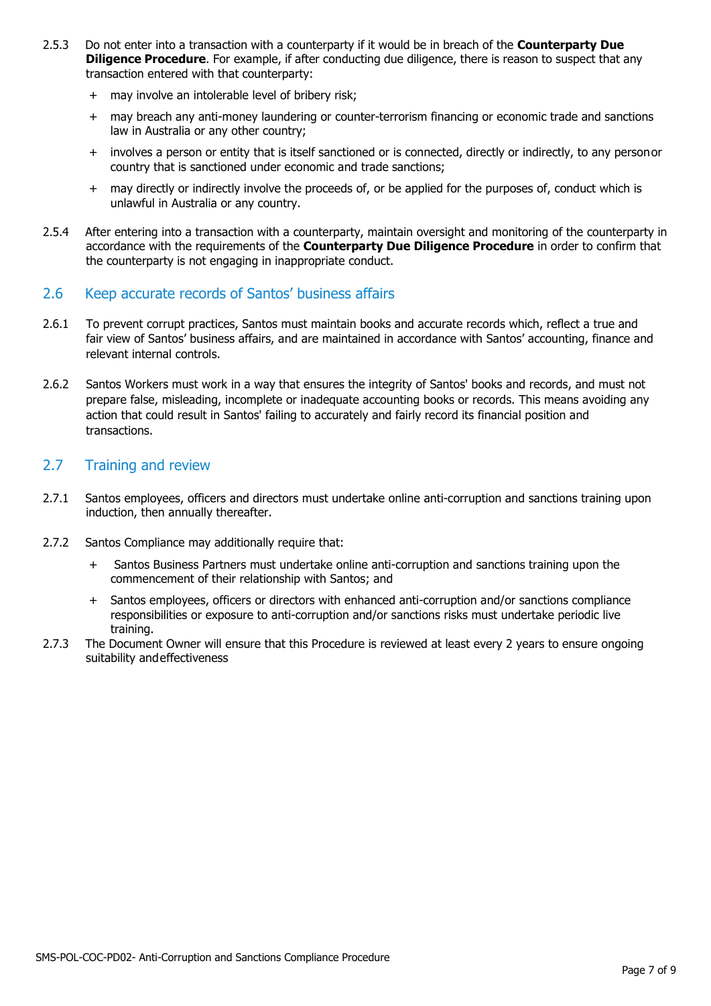- 2.5.3 Do not enter into a transaction with a counterparty if it would be in breach of the **Counterparty Due Diligence Procedure**. For example, if after conducting due diligence, there is reason to suspect that any transaction entered with that counterparty:
	- + may involve an intolerable level of bribery risk;
	- + may breach any anti-money laundering or counter-terrorism financing or economic trade and sanctions law in Australia or any other country;
	- + involves a person or entity that is itself sanctioned or is connected, directly or indirectly, to any personor country that is sanctioned under economic and trade sanctions;
	- + may directly or indirectly involve the proceeds of, or be applied for the purposes of, conduct which is unlawful in Australia or any country.
- 2.5.4 After entering into a transaction with a counterparty, maintain oversight and monitoring of the counterparty in accordance with the requirements of the **Counterparty Due Diligence Procedure** in order to confirm that the counterparty is not engaging in inappropriate conduct.

#### 2.6 Keep accurate records of Santos' business affairs

- 2.6.1 To prevent corrupt practices, Santos must maintain books and accurate records which, reflect a true and fair view of Santos' business affairs, and are maintained in accordance with Santos' accounting, finance and relevant internal controls.
- 2.6.2 Santos Workers must work in a way that ensures the integrity of Santos' books and records, and must not prepare false, misleading, incomplete or inadequate accounting books or records. This means avoiding any action that could result in Santos' failing to accurately and fairly record its financial position and transactions.

#### 2.7 Training and review

- 2.7.1 Santos employees, officers and directors must undertake online anti-corruption and sanctions training upon induction, then annually thereafter.
- 2.7.2 Santos Compliance may additionally require that:
	- + Santos Business Partners must undertake online anti-corruption and sanctions training upon the commencement of their relationship with Santos; and
	- + Santos employees, officers or directors with enhanced anti-corruption and/or sanctions compliance responsibilities or exposure to anti-corruption and/or sanctions risks must undertake periodic live training.
- 2.7.3 The Document Owner will ensure that this Procedure is reviewed at least every 2 years to ensure ongoing suitability andeffectiveness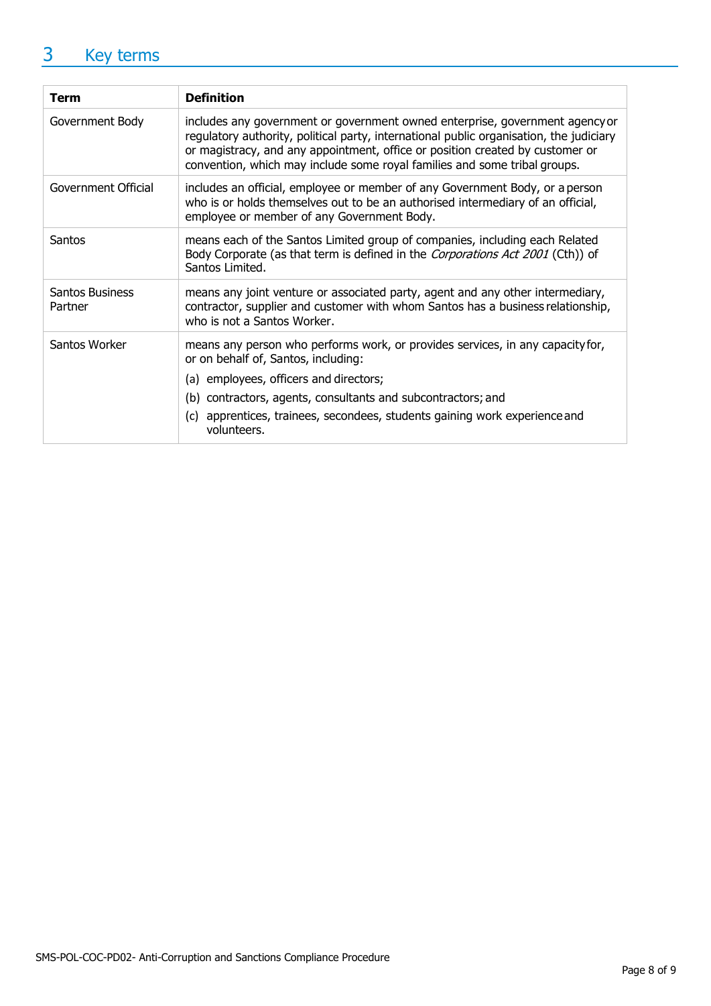## 3 Key terms

| <b>Term</b>                       | <b>Definition</b>                                                                                                                                                                                                                                                                                                                     |
|-----------------------------------|---------------------------------------------------------------------------------------------------------------------------------------------------------------------------------------------------------------------------------------------------------------------------------------------------------------------------------------|
| Government Body                   | includes any government or government owned enterprise, government agency or<br>regulatory authority, political party, international public organisation, the judiciary<br>or magistracy, and any appointment, office or position created by customer or<br>convention, which may include some royal families and some tribal groups. |
| Government Official               | includes an official, employee or member of any Government Body, or a person<br>who is or holds themselves out to be an authorised intermediary of an official,<br>employee or member of any Government Body.                                                                                                                         |
| Santos                            | means each of the Santos Limited group of companies, including each Related<br>Body Corporate (as that term is defined in the Corporations Act 2001 (Cth)) of<br>Santos Limited.                                                                                                                                                      |
| <b>Santos Business</b><br>Partner | means any joint venture or associated party, agent and any other intermediary,<br>contractor, supplier and customer with whom Santos has a business relationship,<br>who is not a Santos Worker.                                                                                                                                      |
| Santos Worker                     | means any person who performs work, or provides services, in any capacity for,<br>or on behalf of, Santos, including:<br>(a) employees, officers and directors;<br>(b) contractors, agents, consultants and subcontractors; and<br>apprentices, trainees, secondees, students gaining work experience and<br>(c)<br>volunteers.       |